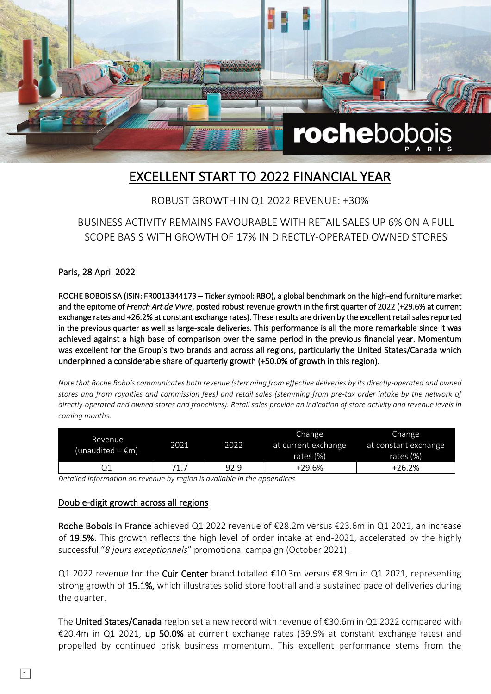

## EXCELLENT START TO 2022 FINANCIAL YEAR

#### ROBUST GROWTH IN Q1 2022 REVENUE: +30%

BUSINESS ACTIVITY REMAINS FAVOURABLE WITH RETAIL SALES UP 6% ON A FULL SCOPE BASIS WITH GROWTH OF 17% IN DIRECTLY-OPERATED OWNED STORES

Paris, 28 April 2022

ROCHE BOBOIS SA (ISIN: FR0013344173 – Ticker symbol: RBO), a global benchmark on the high-end furniture market and the epitome of *French Art de Vivre*, posted robust revenue growth in the first quarter of 2022 (+29.6% at current exchange rates and +26.2% at constant exchange rates). These results are driven by the excellent retail sales reported in the previous quarter as well as large-scale deliveries. This performance is all the more remarkable since it was achieved against a high base of comparison over the same period in the previous financial year. Momentum was excellent for the Group's two brands and across all regions, particularly the United States/Canada which underpinned a considerable share of quarterly growth (+50.0% of growth in this region).

*Note that Roche Bobois communicates both revenue (stemming from effective deliveries by its directly-operated and owned stores and from royalties and commission fees) and retail sales (stemming from pre-tax order intake by the network of directly-operated and owned stores and franchises). Retail sales provide an indication of store activity and revenue levels in coming months.*

| Revenue<br>(unaudited $-\epsilon$ m) | 2021 | 2022. | Change<br>at current exchange<br>rates $(\%)$ | Change<br>at constant exchange<br>rates $(\%)$ |
|--------------------------------------|------|-------|-----------------------------------------------|------------------------------------------------|
|                                      | 71.7 | 92.9  | +29.6%                                        | $+26.2%$                                       |

*Detailed information on revenue by region is available in the appendices*

#### Double-digit growth across all regions

Roche Bobois in France achieved Q1 2022 revenue of €28.2m versus €23.6m in Q1 2021, an increase of 19.5%. This growth reflects the high level of order intake at end-2021, accelerated by the highly successful "*8 jours exceptionnels*" promotional campaign (October 2021).

Q1 2022 revenue for the Cuir Center brand totalled €10.3m versus €8.9m in Q1 2021, representing strong growth of 15.1%, which illustrates solid store footfall and a sustained pace of deliveries during the quarter.

The United States/Canada region set a new record with revenue of €30.6m in Q1 2022 compared with €20.4m in Q1 2021, up 50.0% at current exchange rates (39.9% at constant exchange rates) and propelled by continued brisk business momentum. This excellent performance stems from the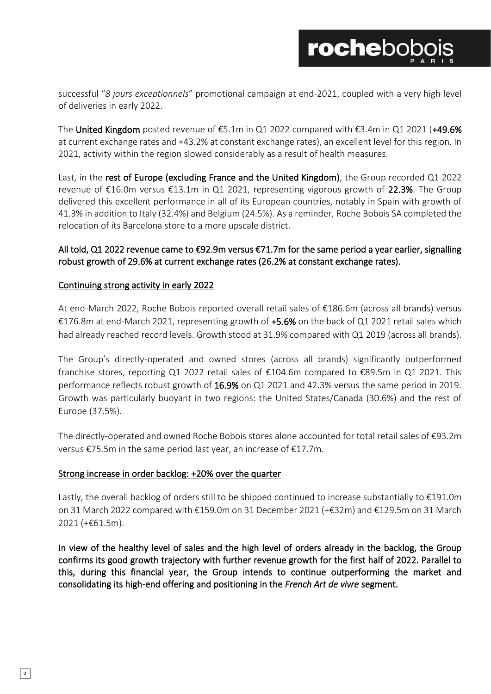successful "*8 jours exceptionnels*" promotional campaign at end-2021, coupled with a very high level of deliveries in early 2022.

The United Kingdom posted revenue of  $€5.1m$  in Q1 2022 compared with  $€3.4m$  in Q1 2021 (+49.6% at current exchange rates and +43.2% at constant exchange rates), an excellent level for this region. In 2021, activity within the region slowed considerably as a result of health measures.

Last, in the rest of Europe (excluding France and the United Kingdom), the Group recorded Q1 2022 revenue of €16.0m versus €13.1m in Q1 2021, representing vigorous growth of 22.3%. The Group delivered this excellent performance in all of its European countries, notably in Spain with growth of 41.3% in addition to Italy (32.4%) and Belgium (24.5%). As a reminder, Roche Bobois SA completed the relocation of its Barcelona store to a more upscale district.

#### All told, Q1 2022 revenue came to €92.9m versus €71.7m for the same period a year earlier, signalling robust growth of 29.6% at current exchange rates (26.2% at constant exchange rates).

#### Continuing strong activity in early 2022

At end-March 2022, Roche Bobois reported overall retail sales of €186.6m (across all brands) versus €176.8m at end-March 2021, representing growth of +5.6% on the back of Q1 2021 retail sales which had already reached record levels. Growth stood at 31.9% compared with Q1 2019 (across all brands).

The Group's directly-operated and owned stores (across all brands) significantly outperformed franchise stores, reporting Q1 2022 retail sales of €104.6m compared to €89.5m in Q1 2021. This performance reflects robust growth of 16.9% on Q1 2021 and 42.3% versus the same period in 2019. Growth was particularly buoyant in two regions: the United States/Canada (30.6%) and the rest of Europe (37.5%).

The directly-operated and owned Roche Bobois stores alone accounted for total retail sales of €93.2m versus €75.5m in the same period last year, an increase of €17.7m.

#### Strong increase in order backlog: +20% over the quarter

Lastly, the overall backlog of orders still to be shipped continued to increase substantially to €191.0m on 31 March 2022 compared with €159.0m on 31 December 2021 (+€32m) and €129.5m on 31 March 2021 (+€61.5m).

In view of the healthy level of sales and the high level of orders already in the backlog, the Group confirms its good growth trajectory with further revenue growth for the first half of 2022. Parallel to this, during this financial year, the Group intends to continue outperforming the market and consolidating its high-end offering and positioning in the *French Art de vivre* segment.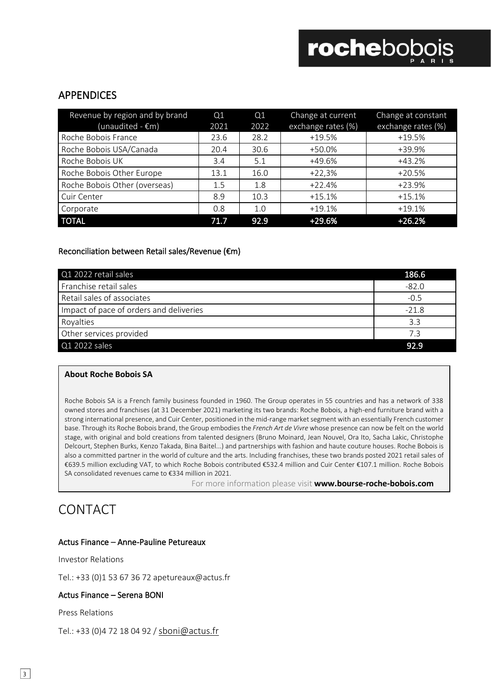### APPENDICES

| Revenue by region and by brand<br>(unaudited - $\overline{\epsilon}$ m) | Q <sub>1</sub><br>2021 | Q1<br>2022 | Change at current<br>exchange rates (%) | Change at constant<br>exchange rates (%) |
|-------------------------------------------------------------------------|------------------------|------------|-----------------------------------------|------------------------------------------|
| Roche Bobois France                                                     | 23.6                   | 28.2       | $+19.5%$                                | $+19.5%$                                 |
| Roche Bobois USA/Canada                                                 | 20.4                   | 30.6       | +50.0%                                  | +39.9%                                   |
| Roche Bobois UK                                                         | 3.4                    | 5.1        | +49.6%                                  | +43.2%                                   |
| Roche Bobois Other Europe                                               | 13.1                   | 16.0       | $+22,3%$                                | $+20.5%$                                 |
| Roche Bobois Other (overseas)                                           | 1.5                    | 1.8        | $+22.4%$                                | +23.9%                                   |
| Cuir Center                                                             | 8.9                    | 10.3       | $+15.1%$                                | $+15.1%$                                 |
| Corporate                                                               | 0.8                    | 1.0        | $+19.1%$                                | $+19.1%$                                 |
| <b>TOTAL</b>                                                            | 71.7                   | 92.9       | +29.6%                                  | $+26.2%$                                 |

#### Reconciliation between Retail sales/Revenue (€m)

| Q1 2022 retail sales                    | 186.6   |
|-----------------------------------------|---------|
| Franchise retail sales                  | $-82.0$ |
| Retail sales of associates              | $-0.5$  |
| Impact of pace of orders and deliveries | $-21.8$ |
| Royalties                               | 3.3     |
| Other services provided                 | 7.3     |
| $Q1$ 2022 sales                         | 92.9    |

#### **About Roche Bobois SA**

Roche Bobois SA is a French family business founded in 1960. The Group operates in 55 countries and has a network of 338 owned stores and franchises (at 31 December 2021) marketing its two brands: Roche Bobois, a high-end furniture brand with a strong international presence, and Cuir Center, positioned in the mid-range market segment with an essentially French customer base. Through its Roche Bobois brand, the Group embodies the *French Art de Vivre* whose presence can now be felt on the world stage, with original and bold creations from talented designers (Bruno Moinard, Jean Nouvel, Ora Ito, Sacha Lakic, Christophe Delcourt, Stephen Burks, Kenzo Takada, Bina Baitel...) and partnerships with fashion and haute couture houses. Roche Bobois is also a committed partner in the world of culture and the arts. Including franchises, these two brands posted 2021 retail sales of €639.5 million excluding VAT, to which Roche Bobois contributed €532.4 million and Cuir Center €107.1 million. Roche Bobois SA consolidated revenues came to €334 million in 2021.

For more information please visit **www.bourse-roche-bobois.com**

## CONTACT

#### Actus Finance – Anne-Pauline Petureaux

Investor Relations

Tel.: +33 (0)1 53 67 36 72 apetureaux@actus.fr

#### Actus Finance – Serena BONI

Press Relations

Tel.: +33 (0)4 72 18 04 92 / [sboni@actus.fr](mailto:sboni@actus.fr)